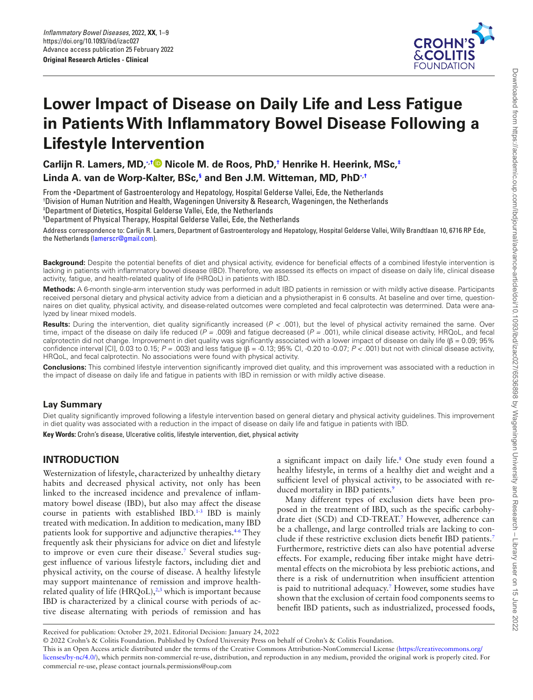

# **Lower Impact of Disease on Daily Life and Less Fatigue in Patients With Infammatory Bowel Disease Following a Lifestyle Intervention**

**Carlijn R. Lamers, MD,**[∗](#page-0-0)**,[†](#page-0-1) Nicole M. de Roos, PhD,[†](#page-0-1) Henrike H. Heerink, MSc[,‡](#page-0-2) Linda A. van de Worp-Kalter, BSc,[§](#page-0-3) and Ben J.M. Witteman, MD, PhD**[∗](#page-0-0)**,[†](#page-0-1)**

<span id="page-0-1"></span><span id="page-0-0"></span>From the ∗Department of Gastroenterology and Hepatology, Hospital Gelderse Vallei, Ede, the Netherlands † <sup>t</sup>Division of Human Nutrition and Health, Wageningen University & Research, Wageningen, the Netherlands ‡ Department of Dietetics, Hospital Gelderse Vallei, Ede, the Netherlands

<span id="page-0-3"></span><span id="page-0-2"></span>§ Department of Physical Therapy, Hospital Gelderse Vallei, Ede, the Netherlands

Address correspondence to: Carlijn R. Lamers, Department of Gastroenterology and Hepatology, Hospital Gelderse Vallei, Willy Brandtlaan 10, 6716 RP Ede, the Netherlands ([lamerscr@gmail.com](mailto:lamerscr@gmail.com?subject=)).

Background: Despite the potential benefits of diet and physical activity, evidence for beneficial effects of a combined lifestyle intervention is lacking in patients with infammatory bowel disease (IBD). Therefore, we assessed its effects on impact of disease on daily life, clinical disease activity, fatigue, and health-related quality of life (HRQoL) in patients with IBD.

**Methods:** A 6-month single-arm intervention study was performed in adult IBD patients in remission or with mildly active disease. Participants received personal dietary and physical activity advice from a dietician and a physiotherapist in 6 consults. At baseline and over time, questionnaires on diet quality, physical activity, and disease-related outcomes were completed and fecal calprotectin was determined. Data were analyzed by linear mixed models.

**Results:** During the intervention, diet quality signifcantly increased (*P <* .001), but the level of physical activity remained the same. Over time, impact of the disease on daily life reduced (*P =* .009) and fatigue decreased (*P =* .001), while clinical disease activity, HRQoL, and fecal calprotectin did not change. Improvement in diet quality was significantly associated with a lower impact of disease on daily life ( $\beta$  = 0.09; 95% confdence interval [CI], 0.03 to 0.15; *P =* .003) and less fatigue (β = -0.13; 95% CI, -0.20 to -0.07; *P <* .001) but not with clinical disease activity, HRQoL, and fecal calprotectin. No associations were found with physical activity.

**Conclusions:** This combined lifestyle intervention signifcantly improved diet quality, and this improvement was associated with a reduction in the impact of disease on daily life and fatigue in patients with IBD in remission or with mildly active disease.

## **Lay Summary**

Diet quality signifcantly improved following a lifestyle intervention based on general dietary and physical activity guidelines. This improvement in diet quality was associated with a reduction in the impact of disease on daily life and fatigue in patients with IBD.

**Key Words:** Crohn's disease, Ulcerative colitis, lifestyle intervention, diet, physical activity

# **INTRODUCTION**

Westernization of lifestyle, characterized by unhealthy dietary habits and decreased physical activity, not only has been linked to the increased incidence and prevalence of infammatory bowel disease (IBD), but also may affect the disease course in patients with established IBD.<sup>[1](#page-7-0)[-3](#page-7-1)</sup> IBD is mainly treated with medication. In addition to medication, many IBD patients look for supportive and adjunctive therapies.<sup>46</sup> They frequently ask their physicians for advice on diet and lifestyle to improve or even cure their disease.<sup>[7](#page-8-2)</sup> Several studies suggest infuence of various lifestyle factors, including diet and physical activity, on the course of disease. A healthy lifestyle may support maintenance of remission and improve healthrelated quality of life  $(HRQoL),^{2,3}$  $(HRQoL),^{2,3}$  $(HRQoL),^{2,3}$  $(HRQoL),^{2,3}$  which is important because IBD is characterized by a clinical course with periods of active disease alternating with periods of remission and has

a significant impact on daily life.<sup>[8](#page-8-3)</sup> One study even found a healthy lifestyle, in terms of a healthy diet and weight and a sufficient level of physical activity, to be associated with re-duced mortality in IBD patients.<sup>[9](#page-8-4)</sup>

Many different types of exclusion diets have been proposed in the treatment of IBD, such as the specifc carbohydrate diet (SCD) and CD-TREAT.[7](#page-8-2) However, adherence can be a challenge, and large controlled trials are lacking to conclude if these restrictive exclusion diets beneft IBD patients.[7](#page-8-2) Furthermore, restrictive diets can also have potential adverse effects. For example, reducing fber intake might have detrimental effects on the microbiota by less prebiotic actions, and there is a risk of undernutrition when insuffcient attention is paid to nutritional adequacy.[7](#page-8-2) However, some studies have shown that the exclusion of certain food components seems to beneft IBD patients, such as industrialized, processed foods,

© 2022 Crohn's & Colitis Foundation. Published by Oxford University Press on behalf of Crohn's & Colitis Foundation. This is an Open Access article distributed under the terms of the Creative Commons Attribution-NonCommercial License ([https://creativecommons.org/](https://creativecommons.org/licenses/by-nc/4.0/) [licenses/by-nc/4.0/\)](https://creativecommons.org/licenses/by-nc/4.0/), which permits non-commercial re-use, distribution, and reproduction in any medium, provided the original work is properly cited. For commercial re-use, please contact journals.permissions@oup.com Received for publication: October 29, 2021. Editorial Decision: January 24, 2022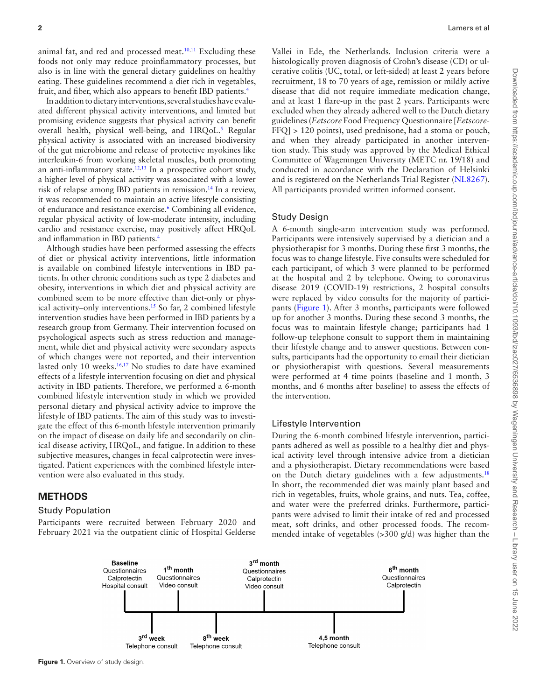animal fat, and red and processed meat.<sup>[10,](#page-8-5)[11](#page-8-6)</sup> Excluding these foods not only may reduce proinfammatory processes, but also is in line with the general dietary guidelines on healthy eating. These guidelines recommend a diet rich in vegetables, fruit, and fber, which also appears to beneft IBD patients[.4](#page-8-0)

In addition to dietary interventions, several studies have evaluated different physical activity interventions, and limited but promising evidence suggests that physical activity can beneft overall health, physical well-being, and HRQoL.<sup>5</sup> Regular physical activity is associated with an increased biodiversity of the gut microbiome and release of protective myokines like interleukin-6 from working skeletal muscles, both promoting an anti-inflammatory state.<sup>12,13</sup> In a prospective cohort study, a higher level of physical activity was associated with a lower risk of relapse among IBD patients in remission[.14](#page-8-10) In a review, it was recommended to maintain an active lifestyle consisting of endurance and resistance exercise.<sup>6</sup> Combining all evidence, regular physical activity of low-moderate intensity, including cardio and resistance exercise, may positively affect HRQoL and infammation in IBD patients.[4](#page-8-0)

Although studies have been performed assessing the effects of diet or physical activity interventions, little information is available on combined lifestyle interventions in IBD patients. In other chronic conditions such as type 2 diabetes and obesity, interventions in which diet and physical activity are combined seem to be more effective than diet-only or physical activity–only interventions[.15](#page-8-11) So far, 2 combined lifestyle intervention studies have been performed in IBD patients by a research group from Germany. Their intervention focused on psychological aspects such as stress reduction and management, while diet and physical activity were secondary aspects of which changes were not reported, and their intervention lasted only 10 weeks.<sup>16,17</sup> No studies to date have examined effects of a lifestyle intervention focusing on diet and physical activity in IBD patients. Therefore, we performed a 6-month combined lifestyle intervention study in which we provided personal dietary and physical activity advice to improve the lifestyle of IBD patients. The aim of this study was to investigate the effect of this 6-month lifestyle intervention primarily on the impact of disease on daily life and secondarily on clinical disease activity, HRQoL, and fatigue. In addition to these subjective measures, changes in fecal calprotectin were investigated. Patient experiences with the combined lifestyle intervention were also evaluated in this study.

## **METHODS**

#### Study Population

Participants were recruited between February 2020 and February 2021 via the outpatient clinic of Hospital Gelderse Vallei in Ede, the Netherlands. Inclusion criteria were a histologically proven diagnosis of Crohn's disease (CD) or ulcerative colitis (UC, total, or left-sided) at least 2 years before recruitment, 18 to 70 years of age, remission or mildly active disease that did not require immediate medication change, and at least 1 fare-up in the past 2 years. Participants were excluded when they already adhered well to the Dutch dietary guidelines (*Eetscore* Food Frequency Questionnaire [*Eetscore*-FFQ] > 120 points), used prednisone, had a stoma or pouch, and when they already participated in another intervention study. This study was approved by the Medical Ethical Committee of Wageningen University (METC nr. 19/18) and conducted in accordance with the Declaration of Helsinki and is registered on the Netherlands Trial Register (NL8267). All participants provided written informed consent.

#### Study Design

A 6-month single-arm intervention study was performed. Participants were intensively supervised by a dietician and a physiotherapist for 3 months. During these frst 3 months, the focus was to change lifestyle. Five consults were scheduled for each participant, of which 3 were planned to be performed at the hospital and 2 by telephone. Owing to coronavirus disease 2019 (COVID-19) restrictions, 2 hospital consults were replaced by video consults for the majority of participants ([Figure 1\)](#page-1-0). After 3 months, participants were followed up for another 3 months. During these second 3 months, the focus was to maintain lifestyle change; participants had 1 follow-up telephone consult to support them in maintaining their lifestyle change and to answer questions. Between consults, participants had the opportunity to email their dietician or physiotherapist with questions. Several measurements were performed at 4 time points (baseline and 1 month, 3 months, and 6 months after baseline) to assess the effects of the intervention.

#### Lifestyle Intervention

During the 6-month combined lifestyle intervention, participants adhered as well as possible to a healthy diet and physical activity level through intensive advice from a dietician and a physiotherapist. Dietary recommendations were based on the Dutch dietary guidelines with a few adjustments.<sup>18</sup> In short, the recommended diet was mainly plant based and rich in vegetables, fruits, whole grains, and nuts. Tea, coffee, and water were the preferred drinks. Furthermore, participants were advised to limit their intake of red and processed meat, soft drinks, and other processed foods. The recommended intake of vegetables (>300 g/d) was higher than the

<span id="page-1-0"></span>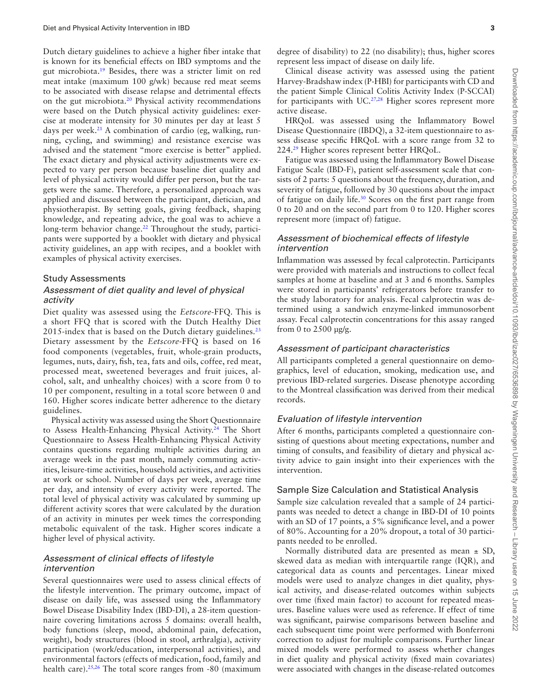Dutch dietary guidelines to achieve a higher fber intake that is known for its benefcial effects on IBD symptoms and the gut microbiota[.19](#page-8-15) Besides, there was a stricter limit on red meat intake (maximum 100 g/wk) because red meat seems to be associated with disease relapse and detrimental effects on the gut microbiota[.20](#page-8-16) Physical activity recommendations were based on the Dutch physical activity guidelines: exercise at moderate intensity for 30 minutes per day at least 5 days per week.<sup>21</sup> A combination of cardio (eg, walking, running, cycling, and swimming) and resistance exercise was advised and the statement "more exercise is better" applied. The exact dietary and physical activity adjustments were expected to vary per person because baseline diet quality and level of physical activity would differ per person, but the targets were the same. Therefore, a personalized approach was applied and discussed between the participant, dietician, and physiotherapist. By setting goals, giving feedback, shaping knowledge, and repeating advice, the goal was to achieve a long-term behavior change.<sup>22</sup> Throughout the study, participants were supported by a booklet with dietary and physical activity guidelines, an app with recipes, and a booklet with examples of physical activity exercises.

## Study Assessments

## *Assessment of diet quality and level of physical activity*

Diet quality was assessed using the *Eetscore*-FFQ. This is a short FFQ that is scored with the Dutch Healthy Diet 2015-index that is based on the Dutch dietary guidelines.<sup>23</sup> Dietary assessment by the *Eetscore*-FFQ is based on 16 food components (vegetables, fruit, whole-grain products, legumes, nuts, dairy, fsh, tea, fats and oils, coffee, red meat, processed meat, sweetened beverages and fruit juices, alcohol, salt, and unhealthy choices) with a score from 0 to 10 per component, resulting in a total score between 0 and 160. Higher scores indicate better adherence to the dietary guidelines.

Physical activity was assessed using the Short Questionnaire to Assess Health-Enhancing Physical Activity.<sup>24</sup> The Short Questionnaire to Assess Health-Enhancing Physical Activity contains questions regarding multiple activities during an average week in the past month, namely commuting activities, leisure-time activities, household activities, and activities at work or school. Number of days per week, average time per day, and intensity of every activity were reported. The total level of physical activity was calculated by summing up different activity scores that were calculated by the duration of an activity in minutes per week times the corresponding metabolic equivalent of the task. Higher scores indicate a higher level of physical activity.

#### *Assessment of clinical effects of lifestyle intervention*

Several questionnaires were used to assess clinical effects of the lifestyle intervention. The primary outcome, impact of disease on daily life, was assessed using the Infammatory Bowel Disease Disability Index (IBD-DI), a 28-item questionnaire covering limitations across 5 domains: overall health, body functions (sleep, mood, abdominal pain, defecation, weight), body structures (blood in stool, arthralgia), activity participation (work/education, interpersonal activities), and environmental factors (effects of medication, food, family and health care).<sup>25,26</sup> The total score ranges from -80 (maximum degree of disability) to 22 (no disability); thus, higher scores represent less impact of disease on daily life.

Clinical disease activity was assessed using the patient Harvey-Bradshaw index (P-HBI) for participants with CD and the patient Simple Clinical Colitis Activity Index (P-SCCAI) for participants with UC.<sup>27,28</sup> Higher scores represent more active disease.

HRQoL was assessed using the Infammatory Bowel Disease Questionnaire (IBDQ), a 32-item questionnaire to assess disease specifc HRQoL with a score range from 32 to 224[.29](#page-8-25) Higher scores represent better HRQoL.

Fatigue was assessed using the Infammatory Bowel Disease Fatigue Scale (IBD-F), patient self-assessment scale that consists of 2 parts: 5 questions about the frequency, duration, and severity of fatigue, followed by 30 questions about the impact of fatigue on daily life.[30](#page-8-26) Scores on the frst part range from 0 to 20 and on the second part from 0 to 120. Higher scores represent more (impact of) fatigue.

## *Assessment of biochemical effects of lifestyle intervention*

Infammation was assessed by fecal calprotectin. Participants were provided with materials and instructions to collect fecal samples at home at baseline and at 3 and 6 months. Samples were stored in participants' refrigerators before transfer to the study laboratory for analysis. Fecal calprotectin was determined using a sandwich enzyme-linked immunosorbent assay. Fecal calprotectin concentrations for this assay ranged from 0 to  $2500 \mu g/g$ .

#### *Assessment of participant characteristics*

All participants completed a general questionnaire on demographics, level of education, smoking, medication use, and previous IBD-related surgeries. Disease phenotype according to the Montreal classifcation was derived from their medical records.

#### *Evaluation of lifestyle intervention*

After 6 months, participants completed a questionnaire consisting of questions about meeting expectations, number and timing of consults, and feasibility of dietary and physical activity advice to gain insight into their experiences with the intervention.

## Sample Size Calculation and Statistical Analysis

Sample size calculation revealed that a sample of 24 participants was needed to detect a change in IBD-DI of 10 points with an SD of 17 points, a 5% significance level, and a power of 80%. Accounting for a 20% dropout, a total of 30 participants needed to be enrolled.

Normally distributed data are presented as mean  $\pm$  SD, skewed data as median with interquartile range (IQR), and categorical data as counts and percentages. Linear mixed models were used to analyze changes in diet quality, physical activity, and disease-related outcomes within subjects over time (fxed main factor) to account for repeated measures. Baseline values were used as reference. If effect of time was signifcant, pairwise comparisons between baseline and each subsequent time point were performed with Bonferroni correction to adjust for multiple comparisons. Further linear mixed models were performed to assess whether changes in diet quality and physical activity (fxed main covariates) were associated with changes in the disease-related outcomes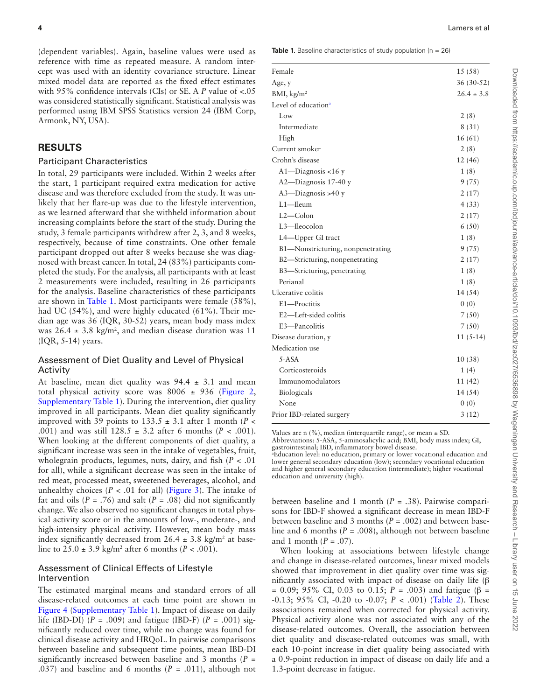(dependent variables). Again, baseline values were used as reference with time as repeated measure. A random intercept was used with an identity covariance structure. Linear mixed model data are reported as the fxed effect estimates with 95% confdence intervals (CIs) or SE. A *P* value of <.05 was considered statistically signifcant. Statistical analysis was performed using IBM SPSS Statistics version 24 (IBM Corp, Armonk, NY, USA).

## **RESULTS**

#### Participant Characteristics

In total, 29 participants were included. Within 2 weeks after the start, 1 participant required extra medication for active disease and was therefore excluded from the study. It was unlikely that her flare-up was due to the lifestyle intervention, as we learned afterward that she withheld information about increasing complaints before the start of the study. During the study, 3 female participants withdrew after 2, 3, and 8 weeks, respectively, because of time constraints. One other female participant dropped out after 8 weeks because she was diagnosed with breast cancer. In total, 24 (83%) participants completed the study. For the analysis, all participants with at least 2 measurements were included, resulting in 26 participants for the analysis. Baseline characteristics of these participants are shown in [Table 1](#page-3-0). Most participants were female (58%), had UC (54%), and were highly educated (61%). Their median age was 36 (IQR, 30-52) years, mean body mass index was  $26.4 \pm 3.8$  kg/m<sup>2</sup>, and median disease duration was 11 (IQR, 5-14) years.

## Assessment of Diet Quality and Level of Physical Activity

At baseline, mean diet quality was  $94.4 \pm 3.1$  and mean total physical activity score was  $8006 \pm 936$  ([Figure 2,](#page-4-0) [Supplementary Table 1\)](http://academic.oup.com/ibdjournal/article-lookup/doi/10.1093/ibd/izac027#supplementary-data). During the intervention, diet quality improved in all participants. Mean diet quality signifcantly improved with 39 points to 133.5 ± 3.1 after 1 month (*P <* .001) and was still 128.5 ± 3.2 after 6 months (*P <* .001). When looking at the different components of diet quality, a signifcant increase was seen in the intake of vegetables, fruit, wholegrain products, legumes, nuts, dairy, and fsh (*P <* .01 for all), while a signifcant decrease was seen in the intake of red meat, processed meat, sweetened beverages, alcohol, and unhealthy choices  $(P < .01$  for all) ([Figure 3](#page-4-1)). The intake of fat and oils  $(P = .76)$  and salt  $(P = .08)$  did not significantly change. We also observed no signifcant changes in total physical activity score or in the amounts of low-, moderate-, and high-intensity physical activity. However, mean body mass index significantly decreased from  $26.4 \pm 3.8$  kg/m<sup>2</sup> at baseline to 25.0 ± 3.9 kg/m2 after 6 months (*P <* .001).

## Assessment of Clinical Effects of Lifestyle Intervention

The estimated marginal means and standard errors of all disease-related outcomes at each time point are shown in [Figure 4](#page-5-0) [\(Supplementary Table 1](http://academic.oup.com/ibdjournal/article-lookup/doi/10.1093/ibd/izac027#supplementary-data)). Impact of disease on daily life (IBD-DI) (*P =* .009) and fatigue (IBD-F) (*P =* .001) signifcantly reduced over time, while no change was found for clinical disease activity and HRQoL. In pairwise comparisons between baseline and subsequent time points, mean IBD-DI signifcantly increased between baseline and 3 months (*P =* .037) and baseline and 6 months (*P =* .011), although not

<span id="page-3-0"></span>**Table 1.** Baseline characteristics of study population (n = 26)

| Female                            | 15(58)         |
|-----------------------------------|----------------|
| Age, y                            | $36(30-52)$    |
| BMI, $\text{kg/m}^2$              | $26.4 \pm 3.8$ |
| Level of education <sup>a</sup>   |                |
| Low                               | 2(8)           |
| Intermediate                      | 8(31)          |
| High                              | 16(61)         |
| Current smoker                    | 2(8)           |
| Crohn's disease                   | 12 (46)        |
| $A1$ —Diagnosis <16 y             | 1(8)           |
| A2-Diagnosis 17-40 y              | 9(75)          |
| $A3$ —Diagnosis >40 y             | 2(17)          |
| $L1$ -Ileum                       | 4(33)          |
| L2-Colon                          | 2(17)          |
| L3-Ileocolon                      | 6(50)          |
| L4-Upper GI tract                 | 1(8)           |
| B1—Nonstricturing, nonpenetrating | 9 (75)         |
| B2—Stricturing, nonpenetrating    | 2(17)          |
| B3-Stricturing, penetrating       | 1(8)           |
| Perianal                          | 1(8)           |
| Ulcerative colitis                | 14(54)         |
| E1-Proctitis                      | 0(0)           |
| E2-Left-sided colitis             | 7(50)          |
| E3-Pancolitis                     | 7(50)          |
| Disease duration, y               | $11(5-14)$     |
| Medication use                    |                |
| $5-ASA$                           | 10(38)         |
| Corticosteroids                   | 1(4)           |
| Immunomodulators                  | 11 (42)        |
| Biologicals                       | 14 (54)        |
| None                              | 0(0)           |
| Prior IBD-related surgery         | 3(12)          |

Values are n  $(%)$ , median (interquartile range), or mean  $\pm$  SD.

Abbreviations: 5-ASA, 5-aminosalicylic acid; BMI, body mass index; GI, gastrointestinal; IBD, infammatory bowel disease. a Education level: no education, primary or lower vocational education and

<span id="page-3-1"></span>lower general secondary education (low); secondary vocational education and higher general secondary education (intermediate); higher vocational education and university (high).

between baseline and 1 month (*P =* .38). Pairwise comparisons for IBD-F showed a signifcant decrease in mean IBD-F between baseline and 3 months (*P =* .002) and between baseline and 6 months (*P =* .008), although not between baseline and 1 month (*P =* .07).

When looking at associations between lifestyle change and change in disease-related outcomes, linear mixed models showed that improvement in diet quality over time was signifcantly associated with impact of disease on daily life (β = 0.09; 95% CI, 0.03 to 0.15; *P =* .003) and fatigue (β = -0.13; 95% CI, -0.20 to -0.07; *P <* .001) ([Table 2\)](#page-6-0). These associations remained when corrected for physical activity. Physical activity alone was not associated with any of the disease-related outcomes. Overall, the association between diet quality and disease-related outcomes was small, with each 10-point increase in diet quality being associated with a 0.9-point reduction in impact of disease on daily life and a 1.3-point decrease in fatigue.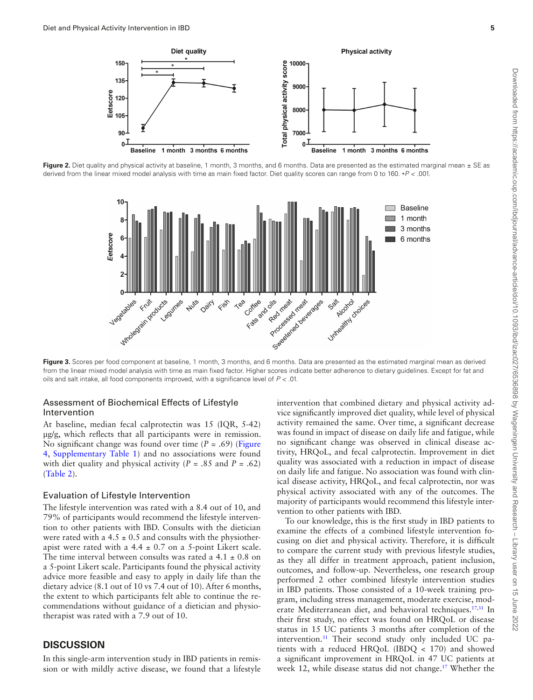

<span id="page-4-0"></span>Figure 2. Diet quality and physical activity at baseline, 1 month, 3 months, and 6 months. Data are presented as the estimated marginal mean  $\pm$  SE as derived from the linear mixed model analysis with time as main fxed factor. Diet quality scores can range from 0 to 160. ∗*P <* .001.



<span id="page-4-1"></span>Figure 3. Scores per food component at baseline, 1 month, 3 months, and 6 months. Data are presented as the estimated marginal mean as derived from the linear mixed model analysis with time as main fxed factor. Higher scores indicate better adherence to dietary guidelines. Except for fat and oils and salt intake, all food components improved, with a signifcance level of *P <* .01.

## Assessment of Biochemical Effects of Lifestyle Intervention

At baseline, median fecal calprotectin was 15 (IQR, 5-42) µg/g, which refects that all participants were in remission. No signifcant change was found over time (*P =* .69) [\(Figure](#page-5-0) [4](#page-5-0), [Supplementary Table 1](http://academic.oup.com/ibdjournal/article-lookup/doi/10.1093/ibd/izac027#supplementary-data)) and no associations were found with diet quality and physical activity (*P =* .85 and *P =* .62) [\(Table 2\)](#page-6-0).

#### Evaluation of Lifestyle Intervention

The lifestyle intervention was rated with a 8.4 out of 10, and 79% of participants would recommend the lifestyle intervention to other patients with IBD. Consults with the dietician were rated with a  $4.5 \pm 0.5$  and consults with the physiotherapist were rated with a  $4.4 \pm 0.7$  on a 5-point Likert scale. The time interval between consults was rated a  $4.1 \pm 0.8$  on a 5-point Likert scale. Participants found the physical activity advice more feasible and easy to apply in daily life than the dietary advice (8.1 out of 10 vs 7.4 out of 10). After 6 months, the extent to which participants felt able to continue the recommendations without guidance of a dietician and physiotherapist was rated with a 7.9 out of 10.

## **DISCUSSION**

In this single-arm intervention study in IBD patients in remission or with mildly active disease, we found that a lifestyle

intervention that combined dietary and physical activity advice signifcantly improved diet quality, while level of physical activity remained the same. Over time, a signifcant decrease was found in impact of disease on daily life and fatigue, while no signifcant change was observed in clinical disease activity, HRQoL, and fecal calprotectin. Improvement in diet quality was associated with a reduction in impact of disease on daily life and fatigue. No association was found with clinical disease activity, HRQoL, and fecal calprotectin, nor was physical activity associated with any of the outcomes. The majority of participants would recommend this lifestyle intervention to other patients with IBD.

To our knowledge, this is the frst study in IBD patients to examine the effects of a combined lifestyle intervention focusing on diet and physical activity. Therefore, it is diffcult to compare the current study with previous lifestyle studies, as they all differ in treatment approach, patient inclusion, outcomes, and follow-up. Nevertheless, one research group performed 2 other combined lifestyle intervention studies in IBD patients. Those consisted of a 10-week training program, including stress management, moderate exercise, moderate Mediterranean diet, and behavioral techniques.<sup>17,31</sup> In their frst study, no effect was found on HRQoL or disease status in 15 UC patients 3 months after completion of the intervention.<sup>31</sup> Their second study only included UC patients with a reduced HRQoL (IBDQ < 170) and showed a signifcant improvement in HRQoL in 47 UC patients at week 12, while disease status did not change.<sup>17</sup> Whether the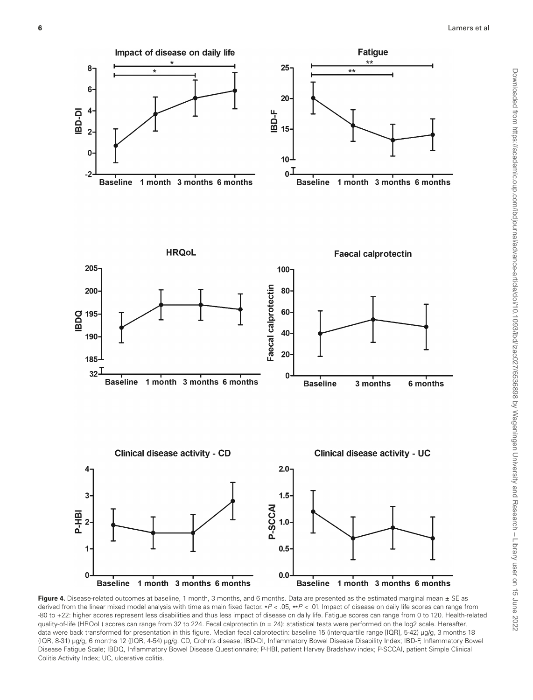

<span id="page-5-0"></span>Figure 4. Disease-related outcomes at baseline, 1 month, 3 months, and 6 months. Data are presented as the estimated marginal mean  $\pm$  SE as derived from the linear mixed model analysis with time as main fxed factor. ∗*P <* .05, ∗∗*P <* .01. Impact of disease on daily life scores can range from -80 to +22: higher scores represent less disabilities and thus less impact of disease on daily life. Fatigue scores can range from 0 to 120. Health-related quality-of-life (HRQoL) scores can range from 32 to 224. Fecal calprotectin (n = 24): statistical tests were performed on the log2 scale. Hereafter, data were back transformed for presentation in this figure. Median fecal calprotectin: baseline 15 (interquartile range [IQR], 5-42) µg/g, 3 months 18 (IQR, 8-31) µg/g, 6 months 12 ([IQR, 4-54) µg/g. CD, Crohn's disease; IBD-DI, Infammatory Bowel Disease Disability Index; IBD-F, Infammatory Bowel Disease Fatigue Scale; IBDQ, Infammatory Bowel Disease Questionnaire; P-HBI, patient Harvey Bradshaw index; P-SCCAI, patient Simple Clinical Colitis Activity Index; UC, ulcerative colitis.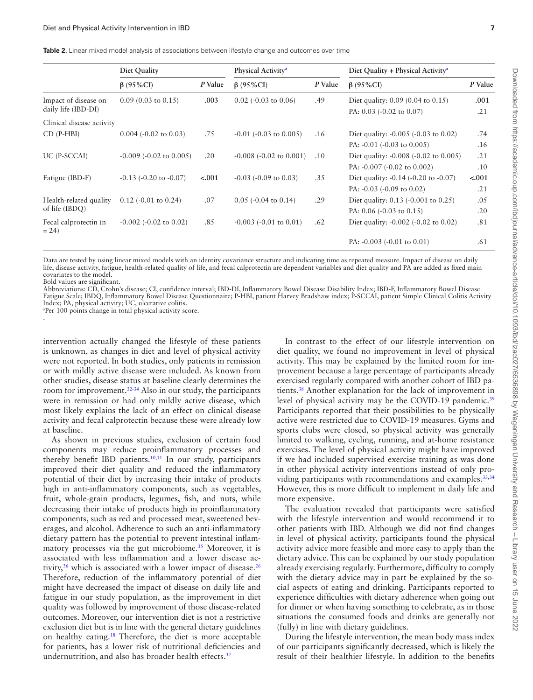<span id="page-6-0"></span>**Table 2.** Linear mixed model analysis of associations between lifestyle change and outcomes over time

|                                          | Diet Quality                    |         | Physical Activity <sup>a</sup> |         | Diet Quality + Physical Activity <sup>a</sup>      |         |
|------------------------------------------|---------------------------------|---------|--------------------------------|---------|----------------------------------------------------|---------|
|                                          | $\beta$ (95%CI)                 | P Value | $\beta$ (95%CI)                | P Value | $\beta$ (95%CI)                                    | P Value |
| Impact of disease on                     | $0.09(0.03 \text{ to } 0.15)$   | .003    | $0.02$ (-0.03 to 0.06)         | .49     | Diet quality: $0.09$ (0.04 to 0.15)                | .001    |
| daily life (IBD-DI)                      |                                 |         |                                |         | PA: 0.03 (-0.02 to 0.07)                           | .21     |
| Clinical disease activity                |                                 |         |                                |         |                                                    |         |
| $CD$ (P-HBI)                             | $0.004$ (-0.02 to 0.03)         | .75     | $-0.01$ ( $-0.03$ to $0.005$ ) | .16     | Diet quality: $-0.005$ ( $-0.03$ to 0.02)          | .74     |
|                                          |                                 |         |                                |         | PA: $-0.01$ $(-0.03$ to $0.005)$                   | .16     |
| UC (P-SCCAI)                             | $-0.009$ ( $-0.02$ to $0.005$ ) | .20     | $-0.008$ $(-0.02$ to $0.001)$  | .10     | Diet quality: $-0.008$ $(-0.02 \text{ to } 0.005)$ | .21     |
|                                          |                                 |         |                                |         | PA: -0.007 (-0.02 to 0.002)                        | .10     |
| Fatigue (IBD-F)                          | $-0.13$ $(-0.20$ to $-0.07)$    | $-.001$ | $-0.03$ ( $-0.09$ to 0.03)     | .35     | Diet quality: $-0.14$ ( $-0.20$ to $-0.07$ )       | $-.001$ |
|                                          |                                 |         |                                |         | PA: $-0.03$ $(-0.09$ to $0.02)$                    | .21     |
| Health-related quality<br>of life (IBDO) | $0.12$ (-0.01 to 0.24)          | .07     | $0.05$ (-0.04 to 0.14)         | .29     | Diet quality: 0.13 (-0.001 to 0.25)                | .05     |
|                                          |                                 |         |                                |         | PA: $0.06$ ( $-0.03$ to $0.15$ )                   | .20     |
| Fecal calprotectin (n)<br>$= 24$         | $-0.002$ $(-0.02$ to $0.02)$    | .85     | $-0.003$ $(-0.01$ to $0.01)$   | .62     | Diet quality: $-0.002$ ( $-0.02$ to 0.02)          | .81     |
|                                          |                                 |         |                                |         | PA: $-0.003$ $(-0.01$ to $0.01)$                   | .61     |

Data are tested by using linear mixed models with an identity covariance structure and indicating time as repeated measure. Impact of disease on daily life, disease activity, fatigue, health-related quality of life, and fecal calprotectin are dependent variables and diet quality and PA are added as fxed main covariates to the model.

Bold values are signifcant.

Abbreviations: CD, Crohn's disease; CI, confdence interval; IBD-DI, Infammatory Bowel Disease Disability Index; IBD-F, Infammatory Bowel Disease Fatigue Scale; IBDQ, Infammatory Bowel Disease Questionnaire; P-HBI, patient Harvey Bradshaw index; P-SCCAI, patient Simple Clinical Colitis Activity Index; PA, physical activity; UC, ulcerative colitis.

<span id="page-6-1"></span>a Per 100 points change in total physical activity score. .

intervention actually changed the lifestyle of these patients is unknown, as changes in diet and level of physical activity were not reported. In both studies, only patients in remission or with mildly active disease were included. As known from other studies, disease status at baseline clearly determines the room for improvement.[32-](#page-8-28)[34](#page-8-29) Also in our study, the participants were in remission or had only mildly active disease, which most likely explains the lack of an effect on clinical disease activity and fecal calprotectin because these were already low at baseline.

As shown in previous studies, exclusion of certain food components may reduce proinfammatory processes and thereby benefit IBD patients.<sup>[10](#page-8-5)[,11](#page-8-6)</sup> In our study, participants improved their diet quality and reduced the infammatory potential of their diet by increasing their intake of products high in anti-infammatory components, such as vegetables, fruit, whole-grain products, legumes, fsh, and nuts, while decreasing their intake of products high in proinfammatory components, such as red and processed meat, sweetened beverages, and alcohol. Adherence to such an anti-infammatory dietary pattern has the potential to prevent intestinal infammatory processes via the gut microbiome.<sup>35</sup> Moreover, it is associated with less infammation and a lower disease activity,<sup>36</sup> which is associated with a lower impact of disease.<sup>26</sup> Therefore, reduction of the infammatory potential of diet might have decreased the impact of disease on daily life and fatigue in our study population, as the improvement in diet quality was followed by improvement of those disease-related outcomes. Moreover, our intervention diet is not a restrictive exclusion diet but is in line with the general dietary guidelines on healthy eating[.18](#page-8-14) Therefore, the diet is more acceptable for patients, has a lower risk of nutritional defciencies and undernutrition, and also has broader health effects[.37](#page-8-32)

In contrast to the effect of our lifestyle intervention on diet quality, we found no improvement in level of physical activity. This may be explained by the limited room for improvement because a large percentage of participants already exercised regularly compared with another cohort of IBD patients.[38](#page-8-33) Another explanation for the lack of improvement in level of physical activity may be the COVID-19 pandemic.<sup>[39](#page-8-34)</sup> Participants reported that their possibilities to be physically active were restricted due to COVID-19 measures. Gyms and sports clubs were closed, so physical activity was generally limited to walking, cycling, running, and at-home resistance exercises. The level of physical activity might have improved if we had included supervised exercise training as was done in other physical activity interventions instead of only pro-viding participants with recommendations and examples.<sup>33,[34](#page-8-29)</sup> However, this is more difficult to implement in daily life and more expensive.

The evaluation revealed that participants were satisfed with the lifestyle intervention and would recommend it to other patients with IBD. Although we did not fnd changes in level of physical activity, participants found the physical activity advice more feasible and more easy to apply than the dietary advice. This can be explained by our study population already exercising regularly. Furthermore, diffculty to comply with the dietary advice may in part be explained by the social aspects of eating and drinking. Participants reported to experience diffculties with dietary adherence when going out for dinner or when having something to celebrate, as in those situations the consumed foods and drinks are generally not (fully) in line with dietary guidelines.

During the lifestyle intervention, the mean body mass index of our participants signifcantly decreased, which is likely the result of their healthier lifestyle. In addition to the benefts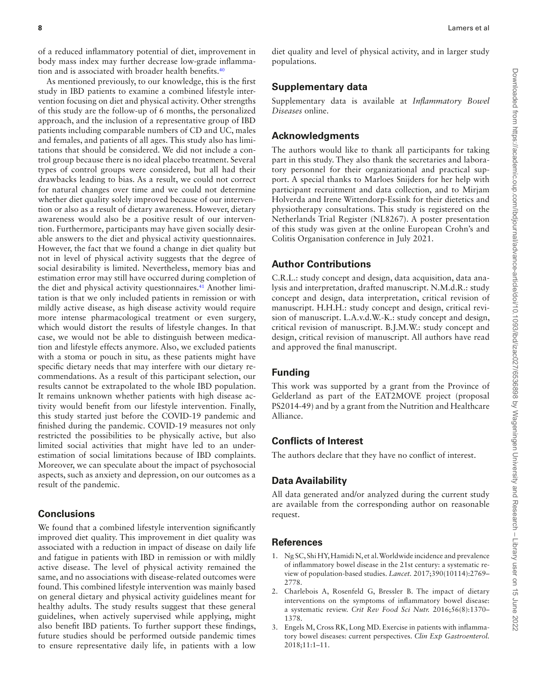of a reduced infammatory potential of diet, improvement in body mass index may further decrease low-grade infammation and is associated with broader health benefits.<sup>40</sup>

As mentioned previously, to our knowledge, this is the frst study in IBD patients to examine a combined lifestyle intervention focusing on diet and physical activity. Other strengths of this study are the follow-up of 6 months, the personalized approach, and the inclusion of a representative group of IBD patients including comparable numbers of CD and UC, males and females, and patients of all ages. This study also has limitations that should be considered. We did not include a control group because there is no ideal placebo treatment. Several types of control groups were considered, but all had their drawbacks leading to bias. As a result, we could not correct for natural changes over time and we could not determine whether diet quality solely improved because of our intervention or also as a result of dietary awareness. However, dietary awareness would also be a positive result of our intervention. Furthermore, participants may have given socially desirable answers to the diet and physical activity questionnaires. However, the fact that we found a change in diet quality but not in level of physical activity suggests that the degree of social desirability is limited. Nevertheless, memory bias and estimation error may still have occurred during completion of the diet and physical activity questionnaires.<sup>41</sup> Another limitation is that we only included patients in remission or with mildly active disease, as high disease activity would require more intense pharmacological treatment or even surgery, which would distort the results of lifestyle changes. In that case, we would not be able to distinguish between medication and lifestyle effects anymore. Also, we excluded patients with a stoma or pouch in situ, as these patients might have specifc dietary needs that may interfere with our dietary recommendations. As a result of this participant selection, our results cannot be extrapolated to the whole IBD population. It remains unknown whether patients with high disease activity would beneft from our lifestyle intervention. Finally, this study started just before the COVID-19 pandemic and fnished during the pandemic. COVID-19 measures not only restricted the possibilities to be physically active, but also limited social activities that might have led to an underestimation of social limitations because of IBD complaints. Moreover, we can speculate about the impact of psychosocial aspects, such as anxiety and depression, on our outcomes as a result of the pandemic.

## **Conclusions**

We found that a combined lifestyle intervention signifcantly improved diet quality. This improvement in diet quality was associated with a reduction in impact of disease on daily life and fatigue in patients with IBD in remission or with mildly active disease. The level of physical activity remained the same, and no associations with disease-related outcomes were found. This combined lifestyle intervention was mainly based on general dietary and physical activity guidelines meant for healthy adults. The study results suggest that these general guidelines, when actively supervised while applying, might also beneft IBD patients. To further support these fndings, future studies should be performed outside pandemic times to ensure representative daily life, in patients with a low

diet quality and level of physical activity, and in larger study populations.

## **Supplementary data**

Supplementary data is available at *Infammatory Bowel Diseases* online.

## **Acknowledgments**

The authors would like to thank all participants for taking part in this study. They also thank the secretaries and laboratory personnel for their organizational and practical support. A special thanks to Marloes Snijders for her help with participant recruitment and data collection, and to Mirjam Holverda and Irene Wittendorp-Essink for their dietetics and physiotherapy consultations. This study is registered on the Netherlands Trial Register (NL8267). A poster presentation of this study was given at the online European Crohn's and Colitis Organisation conference in July 2021.

## **Author Contributions**

C.R.L.: study concept and design, data acquisition, data analysis and interpretation, drafted manuscript. N.M.d.R.: study concept and design, data interpretation, critical revision of manuscript. H.H.H.: study concept and design, critical revision of manuscript. L.A.v.d.W.-K.: study concept and design, critical revision of manuscript. B.J.M.W.: study concept and design, critical revision of manuscript. All authors have read and approved the fnal manuscript.

## **Funding**

This work was supported by a grant from the Province of Gelderland as part of the EAT2MOVE project (proposal PS2014-49) and by a grant from the Nutrition and Healthcare Alliance.

## **Conficts of Interest**

The authors declare that they have no confict of interest.

## **Data Availability**

All data generated and/or analyzed during the current study are available from the corresponding author on reasonable request.

## **References**

- <span id="page-7-0"></span>1. Ng SC, Shi HY, Hamidi N, et al. Worldwide incidence and prevalence of infammatory bowel disease in the 21st century: a systematic review of population-based studies. *Lancet.* 2017;390(10114):2769– 2778.
- <span id="page-7-2"></span>2. Charlebois A, Rosenfeld G, Bressler B. The impact of dietary interventions on the symptoms of infammatory bowel disease: a systematic review. *Crit Rev Food Sci Nutr.* 2016;56(8):1370– 1378.
- <span id="page-7-1"></span>3. Engels M, Cross RK, Long MD. Exercise in patients with infammatory bowel diseases: current perspectives. *Clin Exp Gastroenterol.* 2018;11:1–11.